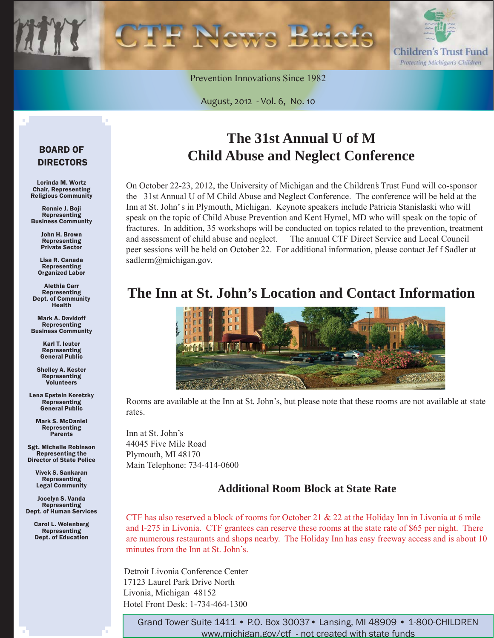Children's Trust Fund Protecting Michigan's Children

Prevention Innovations Since 1982

August, 2012 - Vol. 6, No. 10

### BOARD OF DIRECTORS

Lorinda M. Wortz Chair, Representing Religious Community

Ronnie J. Boji Representing Business Community

> John H. Brown Representing Private Sector

Lisa R. Canada Representing Organized Labor

Alethia Carr Representing Dept. of Community Health

Mark A. Davidoff Representing Business Community

> Karl T. Ieuter Representing General Public

Shelley A. Kester Representing Volunteers

Lena Epstein Koretzky Representing General Public

Mark S. McDaniel Representing **Parents** 

Sgt. Michelle Robinson Representing the Director of State Police

> Vivek S. Sankaran Representing Legal Community

Jocelyn S. Vanda Representing Dept. of Human Services

> Carol L. Wolenberg Representing Dept. of Education

# **The 31st Annual U of M Child Abuse and Neglect Conference**

On October 22-23, 2012, the University of Michigan and the Children's Trust Fund will co-sponsor the 31st Annual U of M Child Abuse and Neglect Conference. The conference will be held at the Inn at St. John's in Plymouth, Michigan. Keynote speakers include Patricia Stanislaski who will speak on the topic of Child Abuse Prevention and Kent Hymel, MD who will speak on the topic of fractures. In addition, 35 workshops will be conducted on topics related to the prevention, treatment and assessment of child abuse and neglect. The annual CTF Direct Service and Local Council peer sessions will be held on October 22. For additional information, please contact Jef f Sadler at sadlerm@michigan.gov.

### **The Inn at St. John's Location and Contact Information**



Rooms are available at the Inn at St. John's, but please note that these rooms are not available at state rates.

Inn at St. John's 44045 Five Mile Road Plymouth, MI 48170 Main Telephone: 734-414-0600

### **Additional Room Block at State Rate**

CTF has also reserved a block of rooms for October 21  $\&$  22 at the Holiday Inn in Livonia at 6 mile and I-275 in Livonia. CTF grantees can reserve these rooms at the state rate of \$65 per night. There are numerous restaurants and shops nearby. The Holiday Inn has easy freeway access and is about 10 minutes from the Inn at St. John's.

 Detroit Livonia Conference Center 17123 Laurel Park Drive North Livonia, Michigan 48152 Hotel Front Desk: 1-734-464-1300

> Grand Tower Suite 1411 • P.O. Box 30037• Lansing, MI 48909 • 1-800-CHILDREN www.michigan.gov/ctf - not created with state funds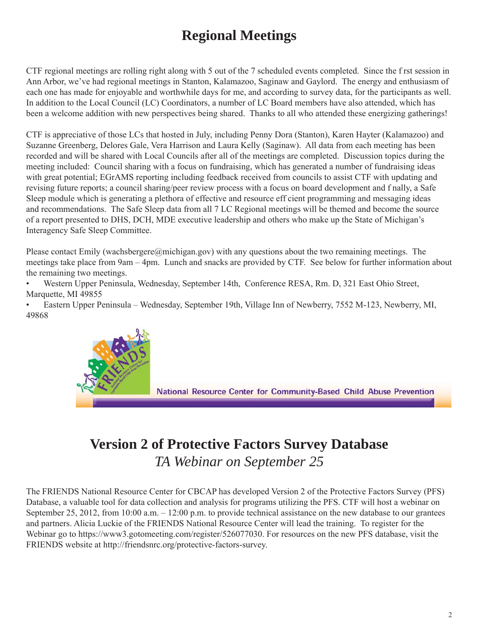# **Regional Meetings**

CTF regional meetings are rolling right along with 5 out of the 7 scheduled events completed. Since the f rst session in Ann Arbor, we've had regional meetings in Stanton, Kalamazoo, Saginaw and Gaylord. The energy and enthusiasm of each one has made for enjoyable and worthwhile days for me, and according to survey data, for the participants as well. In addition to the Local Council (LC) Coordinators, a number of LC Board members have also attended, which has been a welcome addition with new perspectives being shared. Thanks to all who attended these energizing gatherings!

CTF is appreciative of those LCs that hosted in July, including Penny Dora (Stanton), Karen Hayter (Kalamazoo) and Suzanne Greenberg, Delores Gale, Vera Harrison and Laura Kelly (Saginaw). All data from each meeting has been recorded and will be shared with Local Councils after all of the meetings are completed. Discussion topics during the meeting included: Council sharing with a focus on fundraising, which has generated a number of fundraising ideas with great potential; EGrAMS reporting including feedback received from councils to assist CTF with updating and revising future reports; a council sharing/peer review process with a focus on board development and f nally, a Safe Sleep module which is generating a plethora of effective and resource eff cient programming and messaging ideas and recommendations. The Safe Sleep data from all 7 LC Regional meetings will be themed and become the source of a report presented to DHS, DCH, MDE executive leadership and others who make up the State of Michigan's Interagency Safe Sleep Committee.

Please contact Emily (wachsbergere@michigan.gov) with any questions about the two remaining meetings. The meetings take place from 9am – 4pm. Lunch and snacks are provided by CTF. See below for further information about the remaining two meetings.

• Western Upper Peninsula, Wednesday, September 14th, Conference RESA, Rm. D, 321 East Ohio Street, Marquette, MI 49855

• Eastern Upper Peninsula – Wednesday, September 19th, Village Inn of Newberry, 7552 M-123, Newberry, MI, 49868



# **Version 2 of Protective Factors Survey Database** *TA Webinar on September 25*

The FRIENDS National Resource Center for CBCAP has developed Version 2 of the Protective Factors Survey (PFS) Database, a valuable tool for data collection and analysis for programs utilizing the PFS. CTF will host a webinar on September 25, 2012, from 10:00 a.m. – 12:00 p.m. to provide technical assistance on the new database to our grantees and partners. Alicia Luckie of the FRIENDS National Resource Center will lead the training. To register for the Webinar go to https://www3.gotomeeting.com/register/526077030. For resources on the new PFS database, visit the FRIENDS website at http://friendsnrc.org/protective-factors-survey.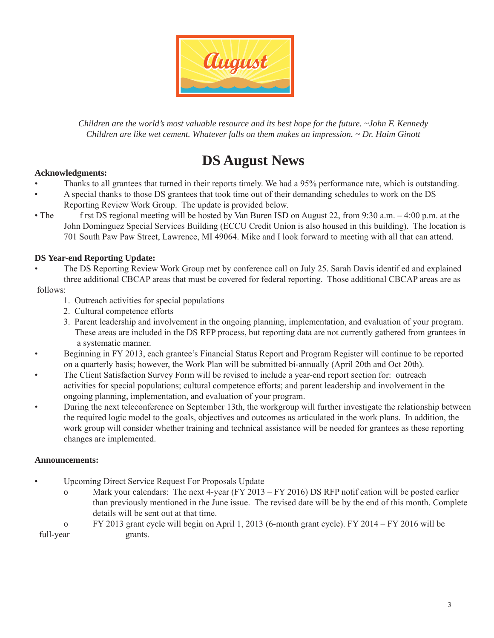

*Children are the world's most valuable resource and its best hope for the future. ~John F. Kennedy Children are like wet cement. Whatever falls on them makes an impression. ~ Dr. Haim Ginott*

# **DS August News**

#### **Acknowledgments:**

- Thanks to all grantees that turned in their reports timely. We had a 95% performance rate, which is outstanding.
- A special thanks to those DS grantees that took time out of their demanding schedules to work on the DS Reporting Review Work Group. The update is provided below.
- The frst DS regional meeting will be hosted by Van Buren ISD on August 22, from 9:30 a.m. 4:00 p.m. at the John Dominguez Special Services Building (ECCU Credit Union is also housed in this building). The location is 701 South Paw Paw Street, Lawrence, MI 49064. Mike and I look forward to meeting with all that can attend.

#### **DS Year-end Reporting Update:**

• The DS Reporting Review Work Group met by conference call on July 25. Sarah Davis identif ed and explained three additional CBCAP areas that must be covered for federal reporting. Those additional CBCAP areas are as

#### follows:

- 1. Outreach activities for special populations
- 2. Cultural competence efforts
- 3. Parent leadership and involvement in the ongoing planning, implementation, and evaluation of your program. These areas are included in the DS RFP process, but reporting data are not currently gathered from grantees in a systematic manner.
- Beginning in FY 2013, each grantee's Financial Status Report and Program Register will continue to be reported on a quarterly basis; however, the Work Plan will be submitted bi-annually (April 20th and Oct 20th).
- The Client Satisfaction Survey Form will be revised to include a year-end report section for: outreach activities for special populations; cultural competence efforts; and parent leadership and involvement in the ongoing planning, implementation, and evaluation of your program.
- During the next teleconference on September 13th, the workgroup will further investigate the relationship between the required logic model to the goals, objectives and outcomes as articulated in the work plans. In addition, the work group will consider whether training and technical assistance will be needed for grantees as these reporting changes are implemented.

#### **Announcements:**

- Upcoming Direct Service Request For Proposals Update
	- o Mark your calendars: The next 4-year (FY 2013 FY 2016) DS RFP notif cation will be posted earlier than previously mentioned in the June issue. The revised date will be by the end of this month. Complete details will be sent out at that time.
- o FY 2013 grant cycle will begin on April 1, 2013 (6-month grant cycle). FY 2014 FY 2016 will be full-year grants.